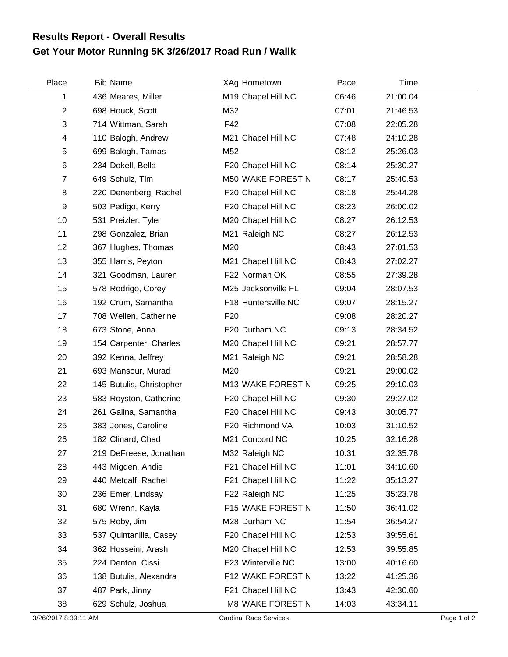## **Get Your Motor Running 5K 3/26/2017 Road Run / Wallk Results Report - Overall Results**

| Place          | <b>Bib Name</b>          | XAg Hometown             | Pace  | Time     |  |
|----------------|--------------------------|--------------------------|-------|----------|--|
| 1              | 436 Meares, Miller       | M19 Chapel Hill NC       | 06:46 | 21:00.04 |  |
| $\overline{c}$ | 698 Houck, Scott         | M32                      | 07:01 | 21:46.53 |  |
| 3              | 714 Wittman, Sarah       | F42                      | 07:08 | 22:05.28 |  |
| 4              | 110 Balogh, Andrew       | M21 Chapel Hill NC       | 07:48 | 24:10.28 |  |
| 5              | 699 Balogh, Tamas        | M52                      | 08:12 | 25:26.03 |  |
| 6              | 234 Dokell, Bella        | F20 Chapel Hill NC       | 08:14 | 25:30.27 |  |
| $\overline{7}$ | 649 Schulz, Tim          | <b>M50 WAKE FOREST N</b> | 08:17 | 25:40.53 |  |
| 8              | 220 Denenberg, Rachel    | F20 Chapel Hill NC       | 08:18 | 25:44.28 |  |
| 9              | 503 Pedigo, Kerry        | F20 Chapel Hill NC       | 08:23 | 26:00.02 |  |
| 10             | 531 Preizler, Tyler      | M20 Chapel Hill NC       | 08:27 | 26:12.53 |  |
| 11             | 298 Gonzalez, Brian      | M21 Raleigh NC           | 08:27 | 26:12.53 |  |
| 12             | 367 Hughes, Thomas       | M20                      | 08:43 | 27:01.53 |  |
| 13             | 355 Harris, Peyton       | M21 Chapel Hill NC       | 08:43 | 27:02.27 |  |
| 14             | 321 Goodman, Lauren      | F22 Norman OK            | 08:55 | 27:39.28 |  |
| 15             | 578 Rodrigo, Corey       | M25 Jacksonville FL      | 09:04 | 28:07.53 |  |
| 16             | 192 Crum, Samantha       | F18 Huntersville NC      | 09:07 | 28:15.27 |  |
| 17             | 708 Wellen, Catherine    | F <sub>20</sub>          | 09:08 | 28:20.27 |  |
| 18             | 673 Stone, Anna          | F20 Durham NC            | 09:13 | 28:34.52 |  |
| 19             | 154 Carpenter, Charles   | M20 Chapel Hill NC       | 09:21 | 28:57.77 |  |
| 20             | 392 Kenna, Jeffrey       | M21 Raleigh NC           | 09:21 | 28:58.28 |  |
| 21             | 693 Mansour, Murad       | M20                      | 09:21 | 29:00.02 |  |
| 22             | 145 Butulis, Christopher | M13 WAKE FOREST N        | 09:25 | 29:10.03 |  |
| 23             | 583 Royston, Catherine   | F20 Chapel Hill NC       | 09:30 | 29:27.02 |  |
| 24             | 261 Galina, Samantha     | F20 Chapel Hill NC       | 09:43 | 30:05.77 |  |
| 25             | 383 Jones, Caroline      | F20 Richmond VA          | 10:03 | 31:10.52 |  |
| 26             | 182 Clinard, Chad        | M21 Concord NC           | 10:25 | 32:16.28 |  |
| 27             | 219 DeFreese, Jonathan   | M32 Raleigh NC           | 10:31 | 32:35.78 |  |
| 28             | 443 Migden, Andie        | F21 Chapel Hill NC       | 11:01 | 34:10.60 |  |
| 29             | 440 Metcalf, Rachel      | F21 Chapel Hill NC       | 11:22 | 35:13.27 |  |
| 30             | 236 Emer, Lindsay        | F22 Raleigh NC           | 11:25 | 35:23.78 |  |
| 31             | 680 Wrenn, Kayla         | F15 WAKE FOREST N        | 11:50 | 36:41.02 |  |
| 32             | 575 Roby, Jim            | M28 Durham NC            | 11:54 | 36:54.27 |  |
| 33             | 537 Quintanilla, Casey   | F20 Chapel Hill NC       | 12:53 | 39:55.61 |  |
| 34             | 362 Hosseini, Arash      | M20 Chapel Hill NC       | 12:53 | 39:55.85 |  |
| 35             | 224 Denton, Cissi        | F23 Winterville NC       | 13:00 | 40:16.60 |  |
| 36             | 138 Butulis, Alexandra   | F12 WAKE FOREST N        | 13:22 | 41:25.36 |  |
| 37             | 487 Park, Jinny          | F21 Chapel Hill NC       | 13:43 | 42:30.60 |  |
| 38             | 629 Schulz, Joshua       | <b>M8 WAKE FOREST N</b>  | 14:03 | 43:34.11 |  |